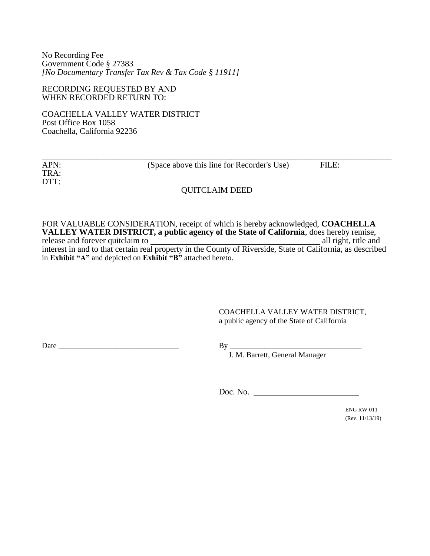No Recording Fee Government Code § 27383 *[No Documentary Transfer Tax Rev & Tax Code § 11911]*

RECORDING REQUESTED BY AND WHEN RECORDED RETURN TO:

COACHELLA VALLEY WATER DISTRICT Post Office Box 1058 Coachella, California 92236

| APN: | (Space above this line for Recorder's Use) | FILE: |  |
|------|--------------------------------------------|-------|--|
| TRA: |                                            |       |  |
| DTT: |                                            |       |  |
|      | <b>QUITCLAIM DEED</b>                      |       |  |

FOR VALUABLE CONSIDERATION, receipt of which is hereby acknowledged, **COACHELLA VALLEY WATER DISTRICT, a public agency of the State of California**, does hereby remise, release and forever quitclaim to **all rights** all right, title and interest in and to that certain real property in the County of Riverside, State of California, as described in **Exhibit "A"** and depicted on **Exhibit "B"** attached hereto.

> COACHELLA VALLEY WATER DISTRICT, a public agency of the State of California

Date \_\_\_\_\_\_\_\_\_\_\_\_\_\_\_\_\_\_\_\_\_\_\_\_\_\_\_\_\_\_\_ By \_\_\_\_\_\_\_\_\_\_\_\_\_\_\_\_\_\_\_\_\_\_\_\_\_\_\_\_\_\_\_\_\_\_

J. M. Barrett, General Manager

Doc. No. \_\_\_\_\_\_\_\_\_\_\_\_\_\_\_\_\_\_\_\_\_\_\_\_\_

ENG RW-011 (Rev. 11/13/19)